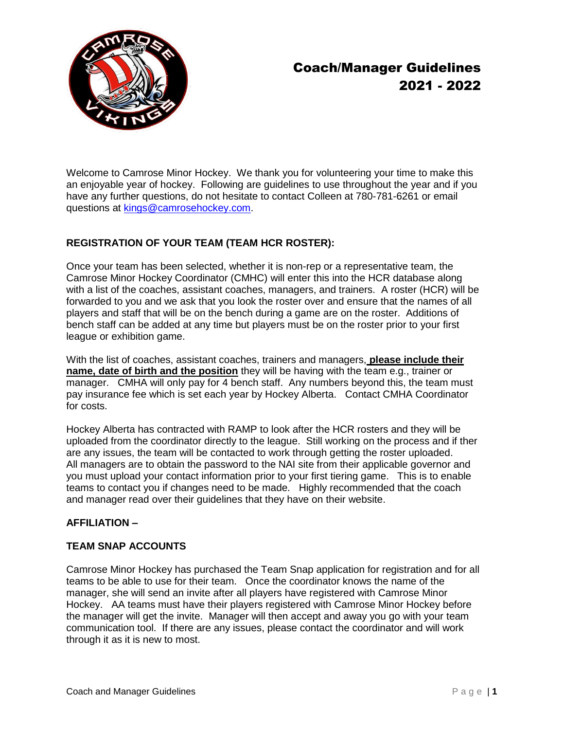

# Coach/Manager Guidelines 2021 - 2022

Welcome to Camrose Minor Hockey. We thank you for volunteering your time to make this an enjoyable year of hockey. Following are guidelines to use throughout the year and if you have any further questions, do not hesitate to contact Colleen at 780-781-6261 or email questions at [kings@camrosehockey.com.](mailto:kings@camrosehockey.com)

# **REGISTRATION OF YOUR TEAM (TEAM HCR ROSTER):**

Once your team has been selected, whether it is non-rep or a representative team, the Camrose Minor Hockey Coordinator (CMHC) will enter this into the HCR database along with a list of the coaches, assistant coaches, managers, and trainers. A roster (HCR) will be forwarded to you and we ask that you look the roster over and ensure that the names of all players and staff that will be on the bench during a game are on the roster. Additions of bench staff can be added at any time but players must be on the roster prior to your first league or exhibition game.

With the list of coaches, assistant coaches, trainers and managers, **please include their name, date of birth and the position** they will be having with the team e.g., trainer or manager. CMHA will only pay for 4 bench staff. Any numbers beyond this, the team must pay insurance fee which is set each year by Hockey Alberta. Contact CMHA Coordinator for costs.

Hockey Alberta has contracted with RAMP to look after the HCR rosters and they will be uploaded from the coordinator directly to the league. Still working on the process and if ther are any issues, the team will be contacted to work through getting the roster uploaded. All managers are to obtain the password to the NAI site from their applicable governor and you must upload your contact information prior to your first tiering game. This is to enable teams to contact you if changes need to be made. Highly recommended that the coach and manager read over their guidelines that they have on their website.

# **AFFILIATION –**

# **TEAM SNAP ACCOUNTS**

Camrose Minor Hockey has purchased the Team Snap application for registration and for all teams to be able to use for their team. Once the coordinator knows the name of the manager, she will send an invite after all players have registered with Camrose Minor Hockey. AA teams must have their players registered with Camrose Minor Hockey before the manager will get the invite. Manager will then accept and away you go with your team communication tool. If there are any issues, please contact the coordinator and will work through it as it is new to most.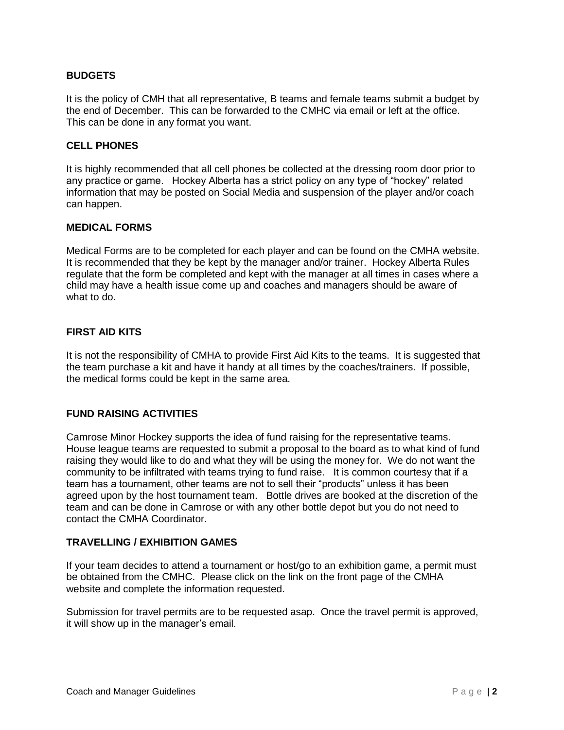## **BUDGETS**

It is the policy of CMH that all representative, B teams and female teams submit a budget by the end of December. This can be forwarded to the CMHC via email or left at the office. This can be done in any format you want.

#### **CELL PHONES**

It is highly recommended that all cell phones be collected at the dressing room door prior to any practice or game. Hockey Alberta has a strict policy on any type of "hockey" related information that may be posted on Social Media and suspension of the player and/or coach can happen.

#### **MEDICAL FORMS**

Medical Forms are to be completed for each player and can be found on the CMHA website. It is recommended that they be kept by the manager and/or trainer. Hockey Alberta Rules regulate that the form be completed and kept with the manager at all times in cases where a child may have a health issue come up and coaches and managers should be aware of what to do.

#### **FIRST AID KITS**

It is not the responsibility of CMHA to provide First Aid Kits to the teams. It is suggested that the team purchase a kit and have it handy at all times by the coaches/trainers. If possible, the medical forms could be kept in the same area.

## **FUND RAISING ACTIVITIES**

Camrose Minor Hockey supports the idea of fund raising for the representative teams. House league teams are requested to submit a proposal to the board as to what kind of fund raising they would like to do and what they will be using the money for. We do not want the community to be infiltrated with teams trying to fund raise. It is common courtesy that if a team has a tournament, other teams are not to sell their "products" unless it has been agreed upon by the host tournament team. Bottle drives are booked at the discretion of the team and can be done in Camrose or with any other bottle depot but you do not need to contact the CMHA Coordinator.

#### **TRAVELLING / EXHIBITION GAMES**

If your team decides to attend a tournament or host/go to an exhibition game, a permit must be obtained from the CMHC. Please click on the link on the front page of the CMHA website and complete the information requested.

Submission for travel permits are to be requested asap. Once the travel permit is approved, it will show up in the manager's email.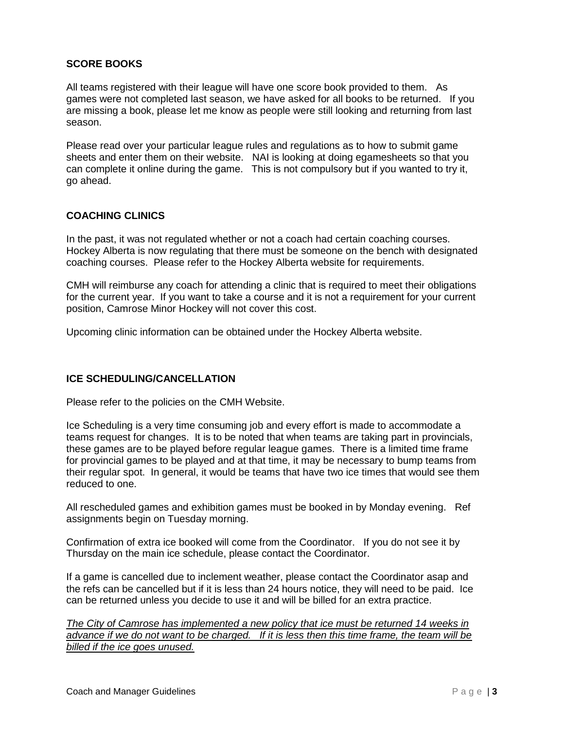# **SCORE BOOKS**

All teams registered with their league will have one score book provided to them. As games were not completed last season, we have asked for all books to be returned. If you are missing a book, please let me know as people were still looking and returning from last season.

Please read over your particular league rules and regulations as to how to submit game sheets and enter them on their website. NAI is looking at doing egamesheets so that you can complete it online during the game. This is not compulsory but if you wanted to try it, go ahead.

#### **COACHING CLINICS**

In the past, it was not regulated whether or not a coach had certain coaching courses. Hockey Alberta is now regulating that there must be someone on the bench with designated coaching courses. Please refer to the Hockey Alberta website for requirements.

CMH will reimburse any coach for attending a clinic that is required to meet their obligations for the current year. If you want to take a course and it is not a requirement for your current position, Camrose Minor Hockey will not cover this cost.

Upcoming clinic information can be obtained under the Hockey Alberta website.

#### **ICE SCHEDULING/CANCELLATION**

Please refer to the policies on the CMH Website.

Ice Scheduling is a very time consuming job and every effort is made to accommodate a teams request for changes. It is to be noted that when teams are taking part in provincials, these games are to be played before regular league games. There is a limited time frame for provincial games to be played and at that time, it may be necessary to bump teams from their regular spot. In general, it would be teams that have two ice times that would see them reduced to one.

All rescheduled games and exhibition games must be booked in by Monday evening. Ref assignments begin on Tuesday morning.

Confirmation of extra ice booked will come from the Coordinator. If you do not see it by Thursday on the main ice schedule, please contact the Coordinator.

If a game is cancelled due to inclement weather, please contact the Coordinator asap and the refs can be cancelled but if it is less than 24 hours notice, they will need to be paid. Ice can be returned unless you decide to use it and will be billed for an extra practice.

*The City of Camrose has implemented a new policy that ice must be returned 14 weeks in advance if we do not want to be charged. If it is less then this time frame, the team will be billed if the ice goes unused.*